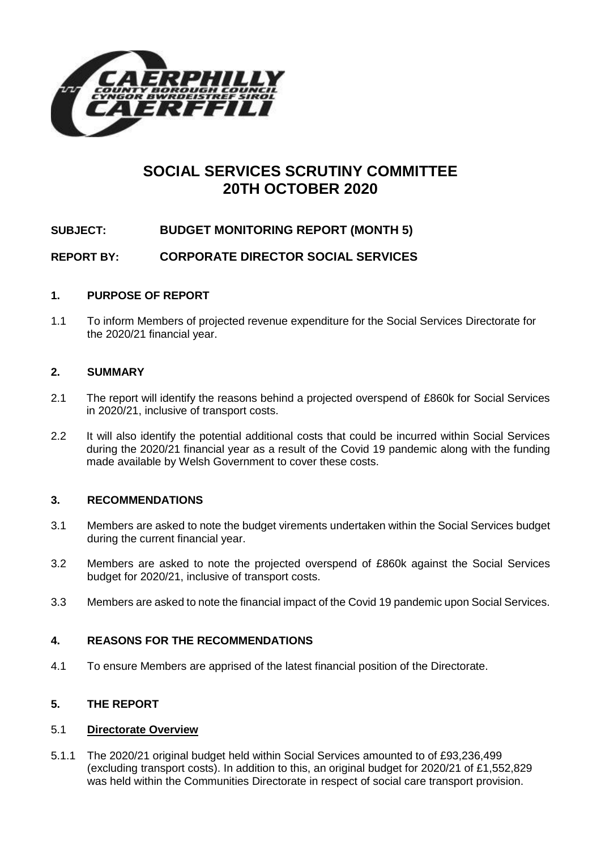

# **SOCIAL SERVICES SCRUTINY COMMITTEE 20TH OCTOBER 2020**

# **SUBJECT: BUDGET MONITORING REPORT (MONTH 5)**

**REPORT BY: CORPORATE DIRECTOR SOCIAL SERVICES**

#### **1. PURPOSE OF REPORT**

1.1 To inform Members of projected revenue expenditure for the Social Services Directorate for the 2020/21 financial year.

#### **2. SUMMARY**

- 2.1 The report will identify the reasons behind a projected overspend of £860k for Social Services in 2020/21, inclusive of transport costs.
- 2.2 It will also identify the potential additional costs that could be incurred within Social Services during the 2020/21 financial year as a result of the Covid 19 pandemic along with the funding made available by Welsh Government to cover these costs.

# **3. RECOMMENDATIONS**

- 3.1 Members are asked to note the budget virements undertaken within the Social Services budget during the current financial year.
- 3.2 Members are asked to note the projected overspend of £860k against the Social Services budget for 2020/21, inclusive of transport costs.
- 3.3 Members are asked to note the financial impact of the Covid 19 pandemic upon Social Services.

#### **4. REASONS FOR THE RECOMMENDATIONS**

4.1 To ensure Members are apprised of the latest financial position of the Directorate.

# **5. THE REPORT**

#### 5.1 **Directorate Overview**

5.1.1 The 2020/21 original budget held within Social Services amounted to of £93,236,499 (excluding transport costs). In addition to this, an original budget for 2020/21 of £1,552,829 was held within the Communities Directorate in respect of social care transport provision.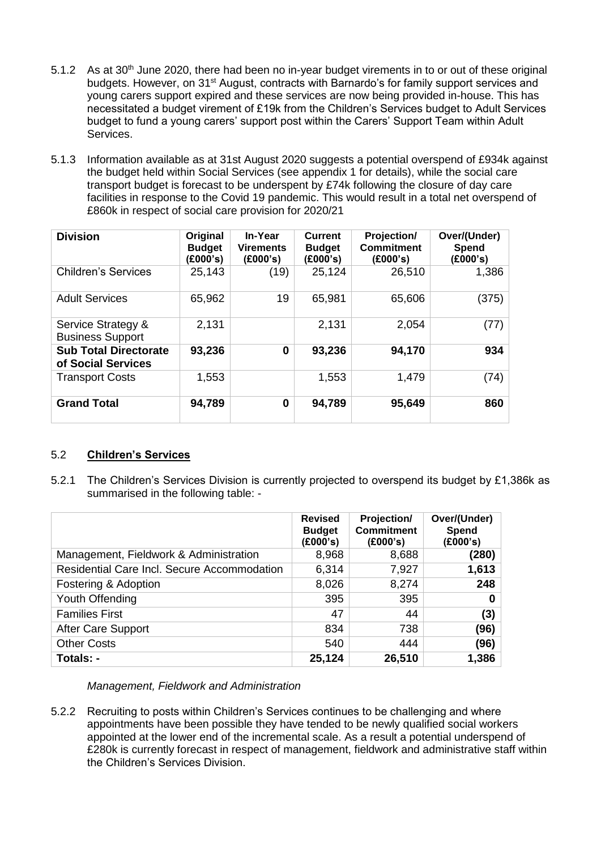- 5.1.2 As at 30<sup>th</sup> June 2020, there had been no in-year budget virements in to or out of these original budgets. However, on 31<sup>st</sup> August, contracts with Barnardo's for family support services and young carers support expired and these services are now being provided in-house. This has necessitated a budget virement of £19k from the Children's Services budget to Adult Services budget to fund a young carers' support post within the Carers' Support Team within Adult Services.
- 5.1.3 Information available as at 31st August 2020 suggests a potential overspend of £934k against the budget held within Social Services (see appendix 1 for details), while the social care transport budget is forecast to be underspent by £74k following the closure of day care facilities in response to the Covid 19 pandemic. This would result in a total net overspend of £860k in respect of social care provision for 2020/21

| <b>Division</b>                                    | Original<br><b>Budget</b><br>(£000's) | In-Year<br><b>Virements</b><br>(E000's) | Current<br><b>Budget</b><br>(E000's) | Projection/<br><b>Commitment</b><br>(E000's) | Over/(Under)<br>Spend<br>(E000's) |
|----------------------------------------------------|---------------------------------------|-----------------------------------------|--------------------------------------|----------------------------------------------|-----------------------------------|
| <b>Children's Services</b>                         | 25,143                                | (19)                                    | 25,124                               | 26,510                                       | 1,386                             |
| <b>Adult Services</b>                              | 65,962                                | 19                                      | 65,981                               | 65,606                                       | (375)                             |
| Service Strategy &<br><b>Business Support</b>      | 2,131                                 |                                         | 2,131                                | 2,054                                        | (77)                              |
| <b>Sub Total Directorate</b><br>of Social Services | 93,236                                | 0                                       | 93,236                               | 94,170                                       | 934                               |
| <b>Transport Costs</b>                             | 1,553                                 |                                         | 1,553                                | 1,479                                        | (74)                              |
| <b>Grand Total</b>                                 | 94,789                                | 0                                       | 94,789                               | 95,649                                       | 860                               |

# 5.2 **Children's Services**

5.2.1 The Children's Services Division is currently projected to overspend its budget by £1,386k as summarised in the following table: -

|                                             | <b>Revised</b><br><b>Budget</b><br>(£000's) | Projection/<br><b>Commitment</b><br>(£000's) | Over/(Under)<br>Spend<br>(E000's) |
|---------------------------------------------|---------------------------------------------|----------------------------------------------|-----------------------------------|
| Management, Fieldwork & Administration      | 8,968                                       | 8,688                                        | (280)                             |
| Residential Care Incl. Secure Accommodation | 6,314                                       | 7,927                                        | 1,613                             |
| Fostering & Adoption                        | 8,026                                       | 8,274                                        | 248                               |
| Youth Offending                             | 395                                         | 395                                          | 0                                 |
| <b>Families First</b>                       | 47                                          | 44                                           | (3)                               |
| After Care Support                          | 834                                         | 738                                          | (96)                              |
| <b>Other Costs</b>                          | 540                                         | 444                                          | (96)                              |
| Totals: -                                   | 25,124                                      | 26,510                                       | 1,386                             |

*Management, Fieldwork and Administration*

5.2.2 Recruiting to posts within Children's Services continues to be challenging and where appointments have been possible they have tended to be newly qualified social workers appointed at the lower end of the incremental scale. As a result a potential underspend of £280k is currently forecast in respect of management, fieldwork and administrative staff within the Children's Services Division.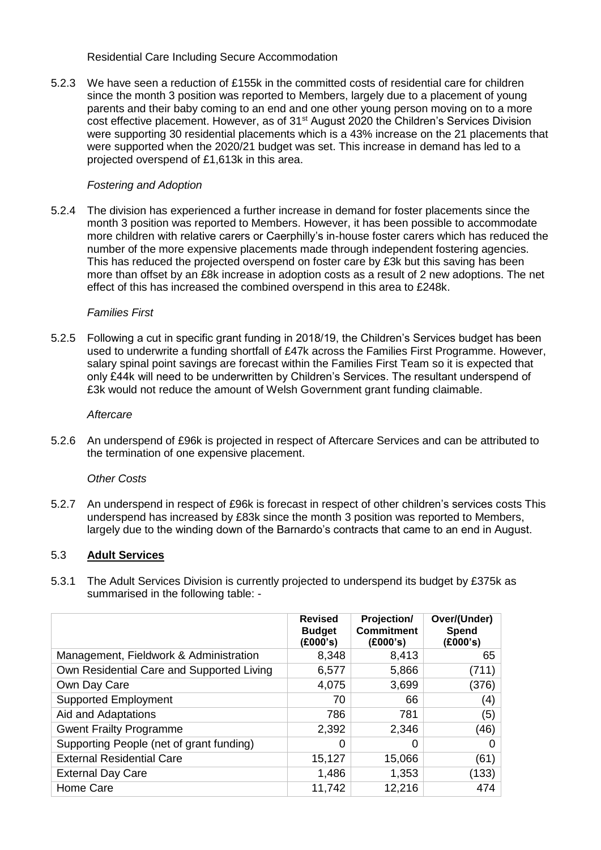Residential Care Including Secure Accommodation

5.2.3 We have seen a reduction of £155k in the committed costs of residential care for children since the month 3 position was reported to Members, largely due to a placement of young parents and their baby coming to an end and one other young person moving on to a more cost effective placement. However, as of 31st August 2020 the Children's Services Division were supporting 30 residential placements which is a 43% increase on the 21 placements that were supported when the 2020/21 budget was set. This increase in demand has led to a projected overspend of £1,613k in this area.

# *Fostering and Adoption*

5.2.4 The division has experienced a further increase in demand for foster placements since the month 3 position was reported to Members. However, it has been possible to accommodate more children with relative carers or Caerphilly's in-house foster carers which has reduced the number of the more expensive placements made through independent fostering agencies. This has reduced the projected overspend on foster care by £3k but this saving has been more than offset by an £8k increase in adoption costs as a result of 2 new adoptions. The net effect of this has increased the combined overspend in this area to £248k.

# *Families First*

5.2.5 Following a cut in specific grant funding in 2018/19, the Children's Services budget has been used to underwrite a funding shortfall of £47k across the Families First Programme. However, salary spinal point savings are forecast within the Families First Team so it is expected that only £44k will need to be underwritten by Children's Services. The resultant underspend of £3k would not reduce the amount of Welsh Government grant funding claimable.

#### *Aftercare*

5.2.6 An underspend of £96k is projected in respect of Aftercare Services and can be attributed to the termination of one expensive placement.

# *Other Costs*

5.2.7 An underspend in respect of £96k is forecast in respect of other children's services costs This underspend has increased by £83k since the month 3 position was reported to Members, largely due to the winding down of the Barnardo's contracts that came to an end in August.

# 5.3 **Adult Services**

5.3.1 The Adult Services Division is currently projected to underspend its budget by £375k as summarised in the following table: -

|                                           | <b>Revised</b><br><b>Budget</b><br>(E000's) | Projection/<br><b>Commitment</b><br>(E000's) | Over/(Under)<br>Spend<br>(E000's) |
|-------------------------------------------|---------------------------------------------|----------------------------------------------|-----------------------------------|
| Management, Fieldwork & Administration    | 8,348                                       | 8,413                                        | 65                                |
| Own Residential Care and Supported Living | 6,577                                       | 5,866                                        | (711)                             |
| Own Day Care                              | 4,075                                       | 3,699                                        | (376)                             |
| <b>Supported Employment</b>               | 70                                          | 66                                           | (4)                               |
| Aid and Adaptations                       | 786                                         | 781                                          | (5)                               |
| <b>Gwent Frailty Programme</b>            | 2,392                                       | 2,346                                        | (46)                              |
| Supporting People (net of grant funding)  | 0                                           | 0                                            | 0                                 |
| <b>External Residential Care</b>          | 15,127                                      | 15,066                                       | (61)                              |
| <b>External Day Care</b>                  | 1,486                                       | 1,353                                        | (133)                             |
| Home Care                                 | 11,742                                      | 12,216                                       | 474                               |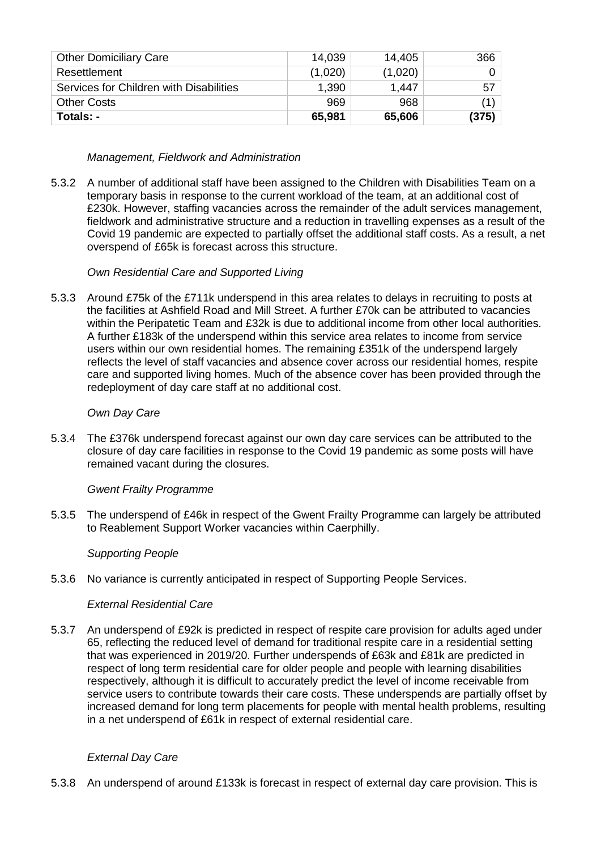| <b>Other Domiciliary Care</b>           | 14,039  | 14,405  | 366   |
|-----------------------------------------|---------|---------|-------|
| Resettlement                            | (1,020) | (1,020) |       |
| Services for Children with Disabilities | 1,390   | 1.447   | 57    |
| <b>Other Costs</b>                      | 969     | 968     | (1)   |
| Totals: -                               | 65,981  | 65,606  | (375) |

# *Management, Fieldwork and Administration*

5.3.2 A number of additional staff have been assigned to the Children with Disabilities Team on a temporary basis in response to the current workload of the team, at an additional cost of £230k. However, staffing vacancies across the remainder of the adult services management, fieldwork and administrative structure and a reduction in travelling expenses as a result of the Covid 19 pandemic are expected to partially offset the additional staff costs. As a result, a net overspend of £65k is forecast across this structure.

# *Own Residential Care and Supported Living*

5.3.3 Around £75k of the £711k underspend in this area relates to delays in recruiting to posts at the facilities at Ashfield Road and Mill Street. A further £70k can be attributed to vacancies within the Peripatetic Team and £32k is due to additional income from other local authorities. A further £183k of the underspend within this service area relates to income from service users within our own residential homes. The remaining £351k of the underspend largely reflects the level of staff vacancies and absence cover across our residential homes, respite care and supported living homes. Much of the absence cover has been provided through the redeployment of day care staff at no additional cost.

# *Own Day Care*

5.3.4 The £376k underspend forecast against our own day care services can be attributed to the closure of day care facilities in response to the Covid 19 pandemic as some posts will have remained vacant during the closures.

# *Gwent Frailty Programme*

5.3.5 The underspend of £46k in respect of the Gwent Frailty Programme can largely be attributed to Reablement Support Worker vacancies within Caerphilly.

# *Supporting People*

5.3.6 No variance is currently anticipated in respect of Supporting People Services.

# *External Residential Care*

5.3.7 An underspend of £92k is predicted in respect of respite care provision for adults aged under 65, reflecting the reduced level of demand for traditional respite care in a residential setting that was experienced in 2019/20. Further underspends of £63k and £81k are predicted in respect of long term residential care for older people and people with learning disabilities respectively, although it is difficult to accurately predict the level of income receivable from service users to contribute towards their care costs. These underspends are partially offset by increased demand for long term placements for people with mental health problems, resulting in a net underspend of £61k in respect of external residential care.

# *External Day Care*

5.3.8 An underspend of around £133k is forecast in respect of external day care provision. This is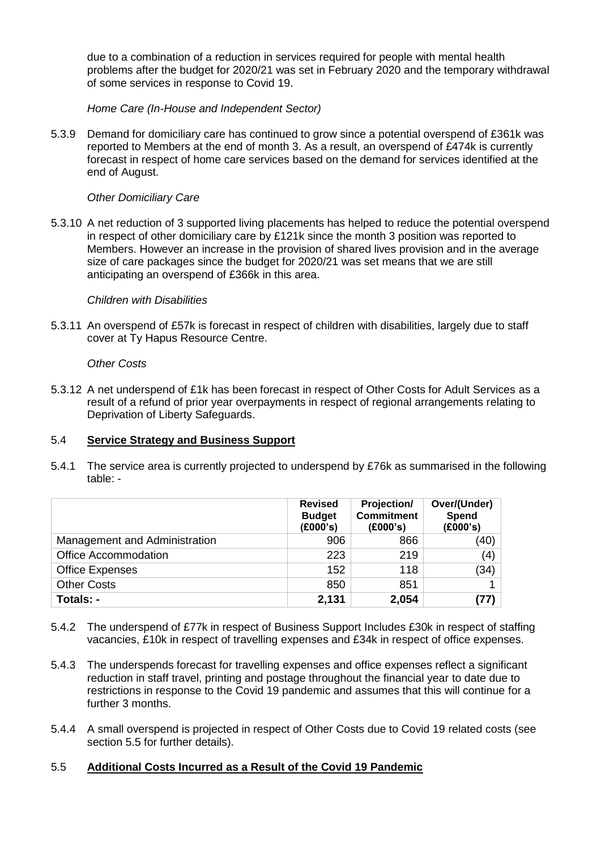due to a combination of a reduction in services required for people with mental health problems after the budget for 2020/21 was set in February 2020 and the temporary withdrawal of some services in response to Covid 19.

*Home Care (In-House and Independent Sector)*

5.3.9 Demand for domiciliary care has continued to grow since a potential overspend of £361k was reported to Members at the end of month 3. As a result, an overspend of £474k is currently forecast in respect of home care services based on the demand for services identified at the end of August.

# *Other Domiciliary Care*

5.3.10 A net reduction of 3 supported living placements has helped to reduce the potential overspend in respect of other domiciliary care by £121k since the month 3 position was reported to Members. However an increase in the provision of shared lives provision and in the average size of care packages since the budget for 2020/21 was set means that we are still anticipating an overspend of £366k in this area.

#### *Children with Disabilities*

5.3.11 An overspend of £57k is forecast in respect of children with disabilities, largely due to staff cover at Ty Hapus Resource Centre.

#### *Other Costs*

5.3.12 A net underspend of £1k has been forecast in respect of Other Costs for Adult Services as a result of a refund of prior year overpayments in respect of regional arrangements relating to Deprivation of Liberty Safeguards.

# 5.4 **Service Strategy and Business Support**

5.4.1 The service area is currently projected to underspend by £76k as summarised in the following table: -

|                               | <b>Revised</b><br><b>Budget</b><br>(E000's) | Projection/<br><b>Commitment</b><br>(E000's) | Over/(Under)<br>Spend<br>(£000's) |
|-------------------------------|---------------------------------------------|----------------------------------------------|-----------------------------------|
| Management and Administration | 906                                         | 866                                          | (40)                              |
| <b>Office Accommodation</b>   | 223                                         | 219                                          | (4)                               |
| <b>Office Expenses</b>        | 152                                         | 118                                          | (34)                              |
| <b>Other Costs</b>            | 850                                         | 851                                          |                                   |
| Totals: -                     | 2,131                                       | 2,054                                        | (77)                              |

- 5.4.2 The underspend of £77k in respect of Business Support Includes £30k in respect of staffing vacancies, £10k in respect of travelling expenses and £34k in respect of office expenses.
- 5.4.3 The underspends forecast for travelling expenses and office expenses reflect a significant reduction in staff travel, printing and postage throughout the financial year to date due to restrictions in response to the Covid 19 pandemic and assumes that this will continue for a further 3 months.
- 5.4.4 A small overspend is projected in respect of Other Costs due to Covid 19 related costs (see section 5.5 for further details).

# 5.5 **Additional Costs Incurred as a Result of the Covid 19 Pandemic**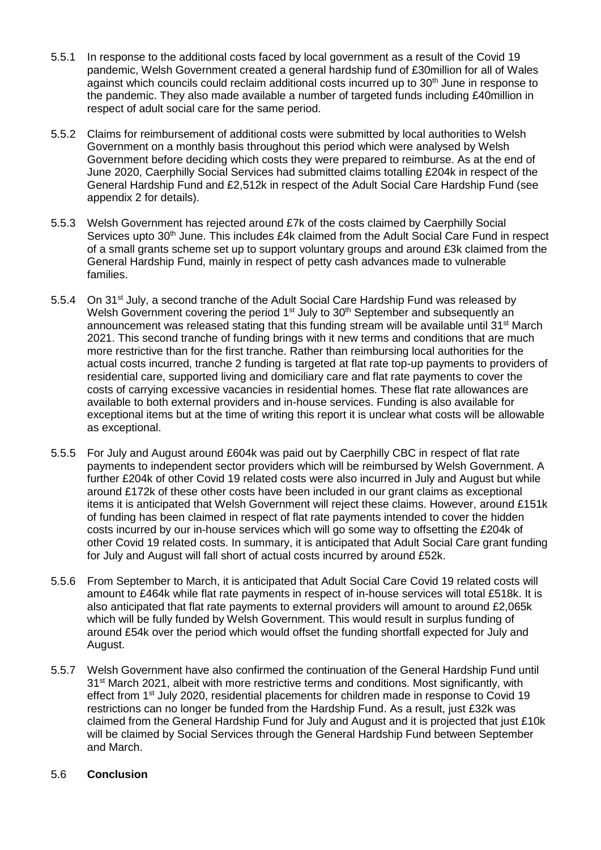- 5.5.1 In response to the additional costs faced by local government as a result of the Covid 19 pandemic, Welsh Government created a general hardship fund of £30million for all of Wales against which councils could reclaim additional costs incurred up to 30<sup>th</sup> June in response to the pandemic. They also made available a number of targeted funds including £40million in respect of adult social care for the same period.
- 5.5.2 Claims for reimbursement of additional costs were submitted by local authorities to Welsh Government on a monthly basis throughout this period which were analysed by Welsh Government before deciding which costs they were prepared to reimburse. As at the end of June 2020, Caerphilly Social Services had submitted claims totalling £204k in respect of the General Hardship Fund and £2,512k in respect of the Adult Social Care Hardship Fund (see appendix 2 for details).
- 5.5.3 Welsh Government has rejected around £7k of the costs claimed by Caerphilly Social Services upto 30<sup>th</sup> June. This includes £4k claimed from the Adult Social Care Fund in respect of a small grants scheme set up to support voluntary groups and around £3k claimed from the General Hardship Fund, mainly in respect of petty cash advances made to vulnerable families.
- 5.5.4 On 31<sup>st</sup> July, a second tranche of the Adult Social Care Hardship Fund was released by Welsh Government covering the period 1<sup>st</sup> July to 30<sup>th</sup> September and subsequently an announcement was released stating that this funding stream will be available until 31<sup>st</sup> March 2021. This second tranche of funding brings with it new terms and conditions that are much more restrictive than for the first tranche. Rather than reimbursing local authorities for the actual costs incurred, tranche 2 funding is targeted at flat rate top-up payments to providers of residential care, supported living and domiciliary care and flat rate payments to cover the costs of carrying excessive vacancies in residential homes. These flat rate allowances are available to both external providers and in-house services. Funding is also available for exceptional items but at the time of writing this report it is unclear what costs will be allowable as exceptional.
- 5.5.5 For July and August around £604k was paid out by Caerphilly CBC in respect of flat rate payments to independent sector providers which will be reimbursed by Welsh Government. A further £204k of other Covid 19 related costs were also incurred in July and August but while around £172k of these other costs have been included in our grant claims as exceptional items it is anticipated that Welsh Government will reject these claims. However, around £151k of funding has been claimed in respect of flat rate payments intended to cover the hidden costs incurred by our in-house services which will go some way to offsetting the £204k of other Covid 19 related costs. In summary, it is anticipated that Adult Social Care grant funding for July and August will fall short of actual costs incurred by around £52k.
- 5.5.6 From September to March, it is anticipated that Adult Social Care Covid 19 related costs will amount to £464k while flat rate payments in respect of in-house services will total £518k. It is also anticipated that flat rate payments to external providers will amount to around £2,065k which will be fully funded by Welsh Government. This would result in surplus funding of around £54k over the period which would offset the funding shortfall expected for July and August.
- 5.5.7 Welsh Government have also confirmed the continuation of the General Hardship Fund until 31st March 2021, albeit with more restrictive terms and conditions. Most significantly, with effect from 1<sup>st</sup> July 2020, residential placements for children made in response to Covid 19 restrictions can no longer be funded from the Hardship Fund. As a result, just £32k was claimed from the General Hardship Fund for July and August and it is projected that just £10k will be claimed by Social Services through the General Hardship Fund between September and March.

# 5.6 **Conclusion**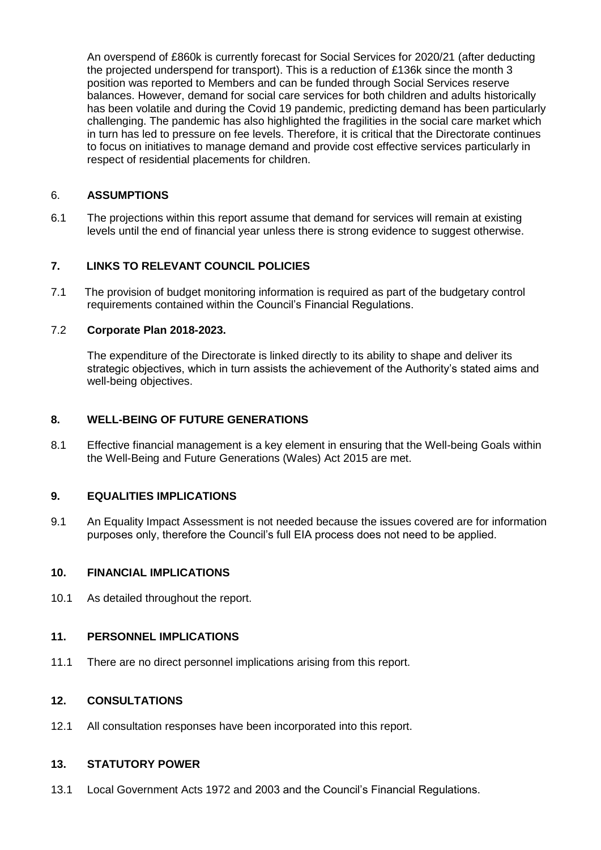An overspend of £860k is currently forecast for Social Services for 2020/21 (after deducting the projected underspend for transport). This is a reduction of £136k since the month 3 position was reported to Members and can be funded through Social Services reserve balances. However, demand for social care services for both children and adults historically has been volatile and during the Covid 19 pandemic, predicting demand has been particularly challenging. The pandemic has also highlighted the fragilities in the social care market which in turn has led to pressure on fee levels. Therefore, it is critical that the Directorate continues to focus on initiatives to manage demand and provide cost effective services particularly in respect of residential placements for children.

# 6. **ASSUMPTIONS**

6.1 The projections within this report assume that demand for services will remain at existing levels until the end of financial year unless there is strong evidence to suggest otherwise.

# **7. LINKS TO RELEVANT COUNCIL POLICIES**

7.1 The provision of budget monitoring information is required as part of the budgetary control requirements contained within the Council's Financial Regulations.

# 7.2 **Corporate Plan 2018-2023.**

The expenditure of the Directorate is linked directly to its ability to shape and deliver its strategic objectives, which in turn assists the achievement of the Authority's stated aims and well-being objectives.

#### **8. WELL-BEING OF FUTURE GENERATIONS**

8.1 Effective financial management is a key element in ensuring that the Well-being Goals within the Well-Being and Future Generations (Wales) Act 2015 are met.

# **9. EQUALITIES IMPLICATIONS**

9.1 An Equality Impact Assessment is not needed because the issues covered are for information purposes only, therefore the Council's full EIA process does not need to be applied.

#### **10. FINANCIAL IMPLICATIONS**

10.1 As detailed throughout the report.

# **11. PERSONNEL IMPLICATIONS**

11.1 There are no direct personnel implications arising from this report.

# **12. CONSULTATIONS**

12.1 All consultation responses have been incorporated into this report.

#### **13. STATUTORY POWER**

13.1 Local Government Acts 1972 and 2003 and the Council's Financial Regulations.